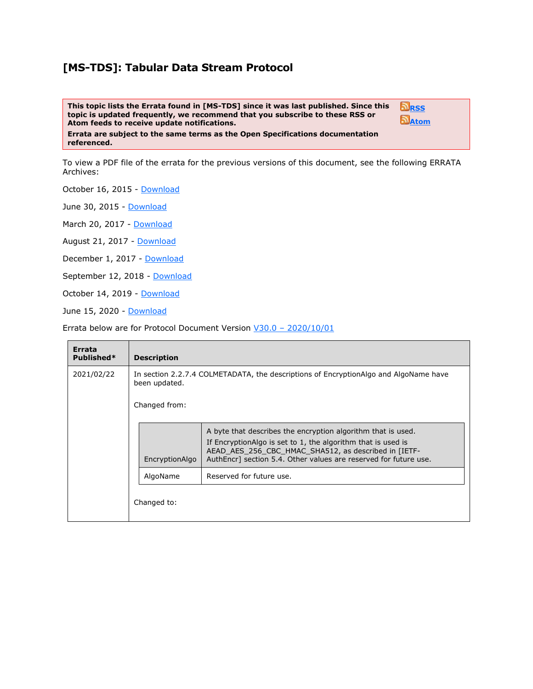## **[MS-TDS]: Tabular Data Stream Protocol**

**This topic lists the Errata found in [MS-TDS] since it was last published. Since this topic is updated frequently, we recommend that you subscribe to these RSS or Atom feeds to receive update notifications.**



**Errata are subject to the same terms as the Open Specifications documentation referenced.**

To view a PDF file of the errata for the previous versions of this document, see the following ERRATA Archives:

October 16, 2015 - [Download](http://go.microsoft.com/fwlink/?LinkID=690377)

June 30, 2015 - [Download](http://go.microsoft.com/fwlink/?LinkId=617579)

March 20, 2017 - [Download](https://winprotocoldoc.blob.core.windows.net/productionwindowsarchives/MS-WINERRATA/%5bMS-WINERRATA%5d-170320.pdf)

August 21, 2017 - [Download](https://winprotocoldoc.blob.core.windows.net/productionwindowsarchives/MS-WINERRATA/%5bMS-WINERRATA%5d-170821.pdf)

December 1, 2017 - [Download](https://winprotocoldoc.blob.core.windows.net/productionwindowsarchives/MS-WINERRATA/%5bMS-WINERRATA%5d-171201.pdf)

September 12, 2018 - [Download](https://winprotocoldoc.blob.core.windows.net/productionwindowsarchives/MS-WINERRATA/%5bMS-WINERRATA%5d-180912.pdf)

October 14, 2019 - [Download](https://winprotocoldoc.blob.core.windows.net/productionwindowsarchives/MS-WINERRATA/%5bMS-WINERRATA%5d-191016.pdf)

June 15, 2020 - [Download](https://winprotocoldoc.blob.core.windows.net/productionwindowsarchives/MS-WINERRATA/%5bMS-WINERRATA%5d-200615.pdf)

Errata below are for Protocol Document Version V30.0 – [2020/10/01](https://docs.microsoft.com/en-us/openspecs/windows_protocols/MS-TDS/b46a581a-39de-4745-b076-ec4dbb7d13ec)

| Errata<br>Published* | <b>Description</b> |                                                                                                                                                                                                                                                          |  |  |
|----------------------|--------------------|----------------------------------------------------------------------------------------------------------------------------------------------------------------------------------------------------------------------------------------------------------|--|--|
| 2021/02/22           | been updated.      | In section 2.2.7.4 COLMETADATA, the descriptions of EncryptionAlgo and AlgoName have                                                                                                                                                                     |  |  |
|                      | Changed from:      |                                                                                                                                                                                                                                                          |  |  |
|                      | EncryptionAlgo     | A byte that describes the encryption algorithm that is used.<br>If EncryptionAlgo is set to 1, the algorithm that is used is<br>AEAD AES 256 CBC HMAC SHA512, as described in [IETF-<br>AuthEncr] section 5.4. Other values are reserved for future use. |  |  |
|                      | AlgoName           | Reserved for future use.                                                                                                                                                                                                                                 |  |  |
|                      | Changed to:        |                                                                                                                                                                                                                                                          |  |  |